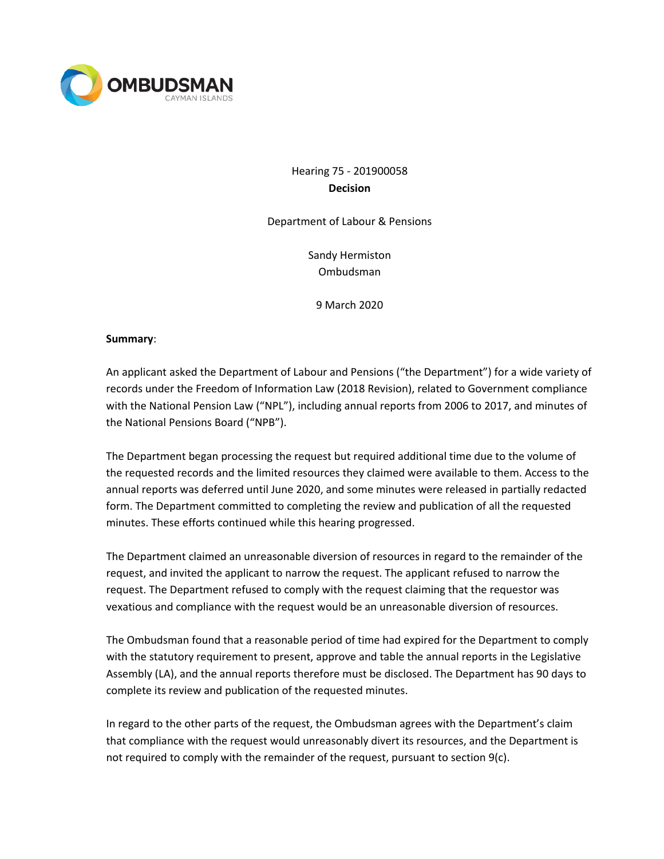

# Hearing 75 - 201900058 **Decision**

Department of Labour & Pensions

Sandy Hermiston Ombudsman

9 March 2020

### **Summary**:

An applicant asked the Department of Labour and Pensions ("the Department") for a wide variety of records under the Freedom of Information Law (2018 Revision), related to Government compliance with the National Pension Law ("NPL"), including annual reports from 2006 to 2017, and minutes of the National Pensions Board ("NPB").

The Department began processing the request but required additional time due to the volume of the requested records and the limited resources they claimed were available to them. Access to the annual reports was deferred until June 2020, and some minutes were released in partially redacted form. The Department committed to completing the review and publication of all the requested minutes. These efforts continued while this hearing progressed.

The Department claimed an unreasonable diversion of resources in regard to the remainder of the request, and invited the applicant to narrow the request. The applicant refused to narrow the request. The Department refused to comply with the request claiming that the requestor was vexatious and compliance with the request would be an unreasonable diversion of resources.

The Ombudsman found that a reasonable period of time had expired for the Department to comply with the statutory requirement to present, approve and table the annual reports in the Legislative Assembly (LA), and the annual reports therefore must be disclosed. The Department has 90 days to complete its review and publication of the requested minutes.

In regard to the other parts of the request, the Ombudsman agrees with the Department's claim that compliance with the request would unreasonably divert its resources, and the Department is not required to comply with the remainder of the request, pursuant to section 9(c).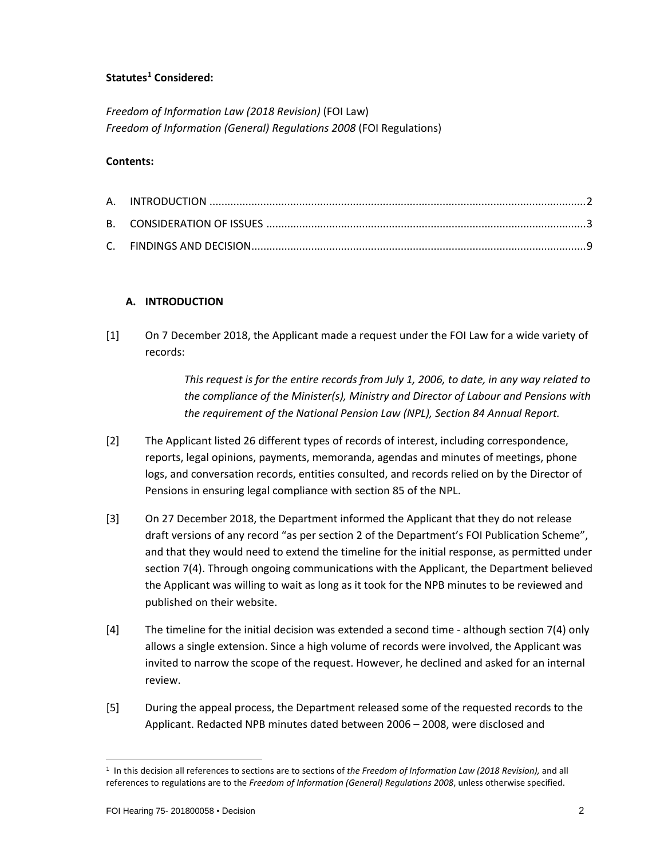## **Statutes[1](#page-1-0) Considered:**

*Freedom of Information Law (2018 Revision)* (FOI Law) *Freedom of Information (General) Regulations 2008* (FOI Regulations)

### **Contents:**

### **A. INTRODUCTION**

[1] On 7 December 2018, the Applicant made a request under the FOI Law for a wide variety of records:

> *This request is for the entire records from July 1, 2006, to date, in any way related to the compliance of the Minister(s), Ministry and Director of Labour and Pensions with the requirement of the National Pension Law (NPL), Section 84 Annual Report.*

- [2] The Applicant listed 26 different types of records of interest, including correspondence, reports, legal opinions, payments, memoranda, agendas and minutes of meetings, phone logs, and conversation records, entities consulted, and records relied on by the Director of Pensions in ensuring legal compliance with section 85 of the NPL.
- [3] On 27 December 2018, the Department informed the Applicant that they do not release draft versions of any record "as per section 2 of the Department's FOI Publication Scheme", and that they would need to extend the timeline for the initial response, as permitted under section 7(4). Through ongoing communications with the Applicant, the Department believed the Applicant was willing to wait as long as it took for the NPB minutes to be reviewed and published on their website.
- [4] The timeline for the initial decision was extended a second time although section 7(4) only allows a single extension. Since a high volume of records were involved, the Applicant was invited to narrow the scope of the request. However, he declined and asked for an internal review.
- [5] During the appeal process, the Department released some of the requested records to the Applicant. Redacted NPB minutes dated between 2006 – 2008, were disclosed and

<span id="page-1-0"></span><sup>1</sup> In this decision all references to sections are to sections of *the Freedom of Information Law (2018 Revision),* and all references to regulations are to the *Freedom of Information (General) Regulations 2008*, unless otherwise specified.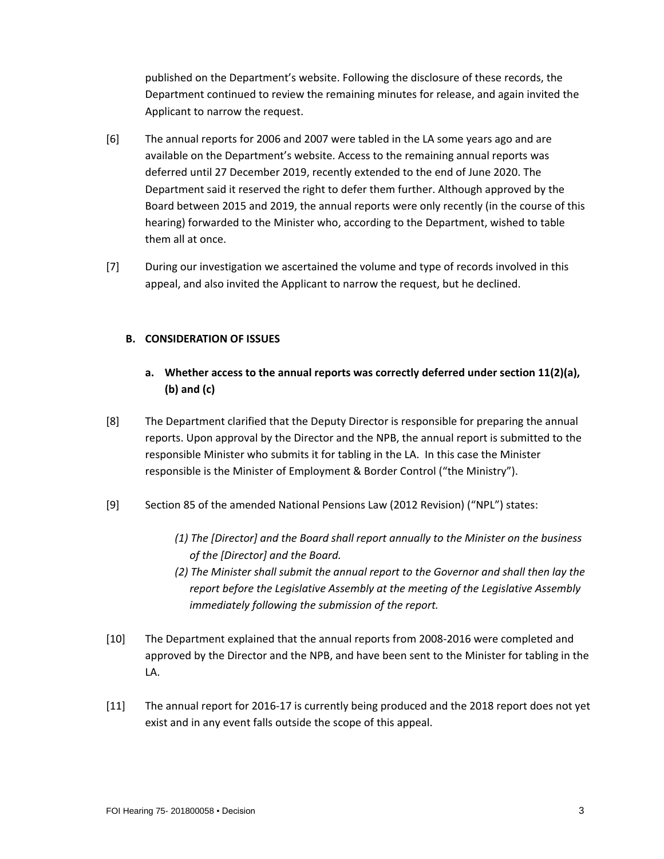published on the Department's website. Following the disclosure of these records, the Department continued to review the remaining minutes for release, and again invited the Applicant to narrow the request.

- [6] The annual reports for 2006 and 2007 were tabled in the LA some years ago and are available on the Department's website. Access to the remaining annual reports was deferred until 27 December 2019, recently extended to the end of June 2020. The Department said it reserved the right to defer them further. Although approved by the Board between 2015 and 2019, the annual reports were only recently (in the course of this hearing) forwarded to the Minister who, according to the Department, wished to table them all at once.
- [7] During our investigation we ascertained the volume and type of records involved in this appeal, and also invited the Applicant to narrow the request, but he declined.

### **B. CONSIDERATION OF ISSUES**

- **a. Whether access to the annual reports was correctly deferred under section 11(2)(a), (b) and (c)**
- [8] The Department clarified that the Deputy Director is responsible for preparing the annual reports. Upon approval by the Director and the NPB, the annual report is submitted to the responsible Minister who submits it for tabling in the LA. In this case the Minister responsible is the Minister of Employment & Border Control ("the Ministry").
- [9] Section 85 of the amended National Pensions Law (2012 Revision) ("NPL") states:
	- *(1) The [Director] and the Board shall report annually to the Minister on the business of the [Director] and the Board.*
	- *(2) The Minister shall submit the annual report to the Governor and shall then lay the report before the Legislative Assembly at the meeting of the Legislative Assembly immediately following the submission of the report.*
- [10] The Department explained that the annual reports from 2008-2016 were completed and approved by the Director and the NPB, and have been sent to the Minister for tabling in the LA.
- [11] The annual report for 2016-17 is currently being produced and the 2018 report does not yet exist and in any event falls outside the scope of this appeal.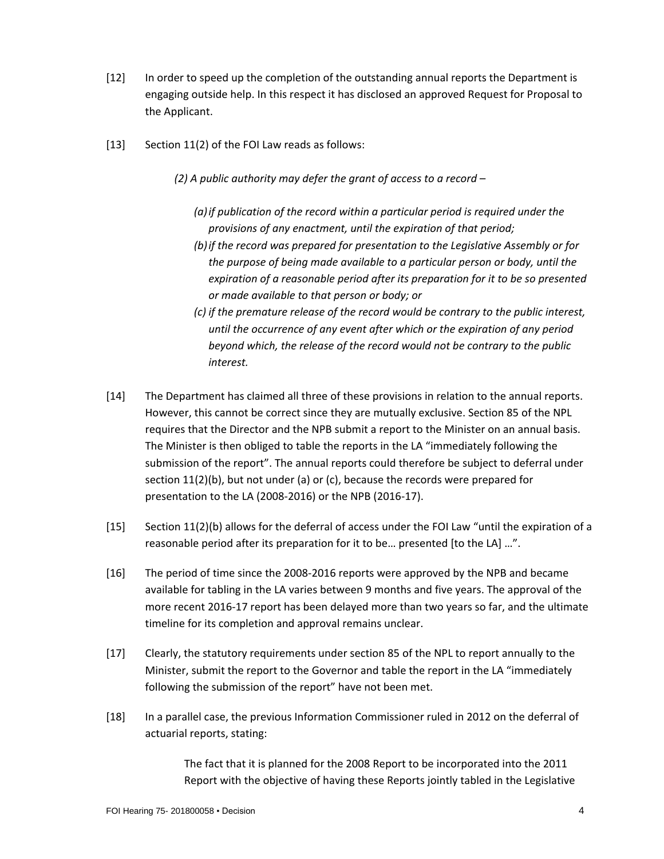- [12] In order to speed up the completion of the outstanding annual reports the Department is engaging outside help. In this respect it has disclosed an approved Request for Proposal to the Applicant.
- [13] Section 11(2) of the FOI Law reads as follows:
	- *(2) A public authority may defer the grant of access to a record –*
		- *(a)if publication of the record within a particular period is required under the provisions of any enactment, until the expiration of that period;*
		- *(b)if the record was prepared for presentation to the Legislative Assembly or for the purpose of being made available to a particular person or body, until the expiration of a reasonable period after its preparation for it to be so presented or made available to that person or body; or*
		- *(c) if the premature release of the record would be contrary to the public interest, until the occurrence of any event after which or the expiration of any period beyond which, the release of the record would not be contrary to the public interest.*
- [14] The Department has claimed all three of these provisions in relation to the annual reports. However, this cannot be correct since they are mutually exclusive. Section 85 of the NPL requires that the Director and the NPB submit a report to the Minister on an annual basis. The Minister is then obliged to table the reports in the LA "immediately following the submission of the report". The annual reports could therefore be subject to deferral under section  $11(2)(b)$ , but not under (a) or (c), because the records were prepared for presentation to the LA (2008-2016) or the NPB (2016-17).
- [15] Section 11(2)(b) allows for the deferral of access under the FOI Law "until the expiration of a reasonable period after its preparation for it to be… presented [to the LA] …".
- [16] The period of time since the 2008-2016 reports were approved by the NPB and became available for tabling in the LA varies between 9 months and five years. The approval of the more recent 2016-17 report has been delayed more than two years so far, and the ultimate timeline for its completion and approval remains unclear.
- [17] Clearly, the statutory requirements under section 85 of the NPL to report annually to the Minister, submit the report to the Governor and table the report in the LA "immediately following the submission of the report" have not been met.
- [18] In a parallel case, the previous Information Commissioner ruled in 2012 on the deferral of actuarial reports, stating:

The fact that it is planned for the 2008 Report to be incorporated into the 2011 Report with the objective of having these Reports jointly tabled in the Legislative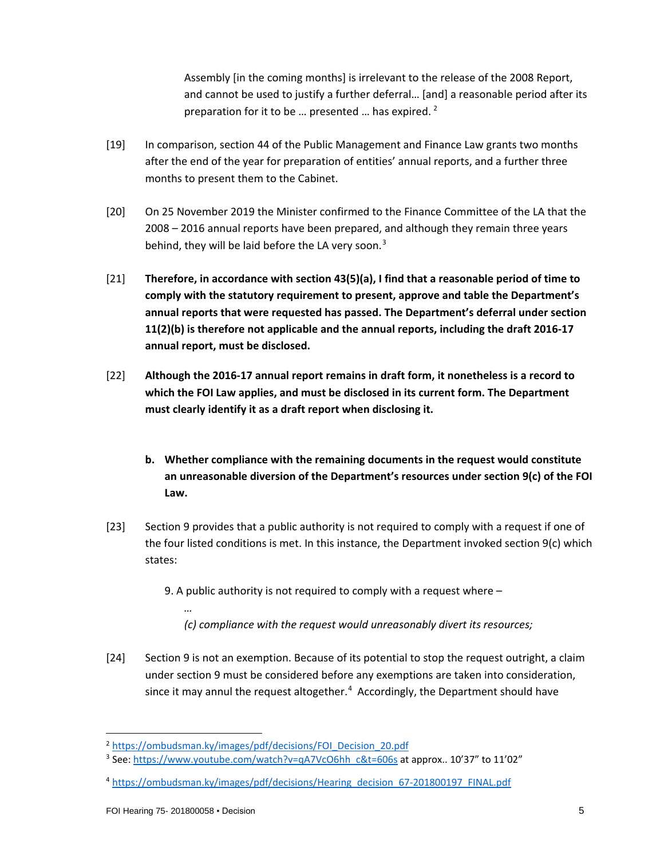Assembly [in the coming months] is irrelevant to the release of the 2008 Report, and cannot be used to justify a further deferral… [and] a reasonable period after its preparation for it to be ... presented ... has expired.  $2^2$  $2^2$ 

- [19] In comparison, section 44 of the Public Management and Finance Law grants two months after the end of the year for preparation of entities' annual reports, and a further three months to present them to the Cabinet.
- [20] On 25 November 2019 the Minister confirmed to the Finance Committee of the LA that the 2008 – 2016 annual reports have been prepared, and although they remain three years behind, they will be laid before the LA very soon. $3$
- [21] **Therefore, in accordance with section 43(5)(a), I find that a reasonable period of time to comply with the statutory requirement to present, approve and table the Department's annual reports that were requested has passed. The Department's deferral under section 11(2)(b) is therefore not applicable and the annual reports, including the draft 2016-17 annual report, must be disclosed.**
- [22] **Although the 2016-17 annual report remains in draft form, it nonetheless is a record to which the FOI Law applies, and must be disclosed in its current form. The Department must clearly identify it as a draft report when disclosing it.** 
	- **b. Whether compliance with the remaining documents in the request would constitute an unreasonable diversion of the Department's resources under section 9(c) of the FOI Law.**
- [23] Section 9 provides that a public authority is not required to comply with a request if one of the four listed conditions is met. In this instance, the Department invoked section 9(c) which states:
	- 9. A public authority is not required to comply with a request where
		- *(c) compliance with the request would unreasonably divert its resources;*
- [24] Section 9 is not an exemption. Because of its potential to stop the request outright, a claim under section 9 must be considered before any exemptions are taken into consideration, since it may annul the request altogether. $4$  Accordingly, the Department should have

*…*

<span id="page-4-0"></span><sup>&</sup>lt;sup>2</sup> [https://ombudsman.ky/images/pdf/decisions/FOI\\_Decision\\_20.pdf](https://ombudsman.ky/images/pdf/decisions/FOI_Decision_20.pdf)

<span id="page-4-1"></span> $3$  See: [https://www.youtube.com/watch?v=qA7VcO6hh\\_c&t=606s](https://nam04.safelinks.protection.outlook.com/?url=https%3A%2F%2Fwww.youtube.com%2Fwatch%3Fv%3DqA7VcO6hh_c%26t%3D606s&data=02%7C01%7Cjan.liebaers%40Ombudsman.ky%7C4d645d72d68f4dbd783808d798714365%7C64ddd3d2806844068a86e36349b87c41%7C0%7C0%7C637145484548891153&sdata=CzAbFRct2JpOC8FKkmMydVZ6oWjO15M4f2lraoZ1iZI%3D&reserved=0) at approx.. 10'37" to 11'02"

<span id="page-4-2"></span><sup>4</sup> [https://ombudsman.ky/images/pdf/decisions/Hearing\\_decision\\_67-201800197\\_FINAL.pdf](https://ombudsman.ky/images/pdf/decisions/Hearing_decision_67-201800197_FINAL.pdf)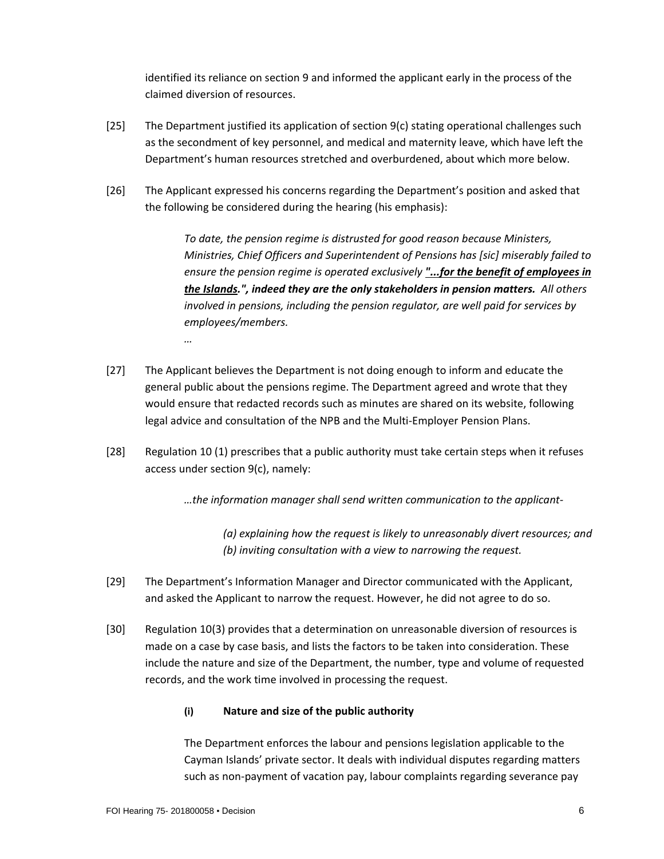identified its reliance on section 9 and informed the applicant early in the process of the claimed diversion of resources.

- [25] The Department justified its application of section 9(c) stating operational challenges such as the secondment of key personnel, and medical and maternity leave, which have left the Department's human resources stretched and overburdened, about which more below.
- [26] The Applicant expressed his concerns regarding the Department's position and asked that the following be considered during the hearing (his emphasis):

*To date, the pension regime is distrusted for good reason because Ministers, Ministries, Chief Officers and Superintendent of Pensions has [sic] miserably failed to ensure the pension regime is operated exclusively "...for the benefit of employees in the Islands.", indeed they are the only stakeholders in pension matters. All others involved in pensions, including the pension regulator, are well paid for services by employees/members.*

- [27] The Applicant believes the Department is not doing enough to inform and educate the general public about the pensions regime. The Department agreed and wrote that they would ensure that redacted records such as minutes are shared on its website, following legal advice and consultation of the NPB and the Multi-Employer Pension Plans.
- [28] Regulation 10 (1) prescribes that a public authority must take certain steps when it refuses access under section 9(c), namely:

*…the information manager shall send written communication to the applicant-*

*(a) explaining how the request is likely to unreasonably divert resources; and (b) inviting consultation with a view to narrowing the request.*

- [29] The Department's Information Manager and Director communicated with the Applicant, and asked the Applicant to narrow the request. However, he did not agree to do so.
- [30] Regulation 10(3) provides that a determination on unreasonable diversion of resources is made on a case by case basis, and lists the factors to be taken into consideration. These include the nature and size of the Department, the number, type and volume of requested records, and the work time involved in processing the request.

# **(i) Nature and size of the public authority**

The Department enforces the labour and pensions legislation applicable to the Cayman Islands' private sector. It deals with individual disputes regarding matters such as non-payment of vacation pay, labour complaints regarding severance pay

*…*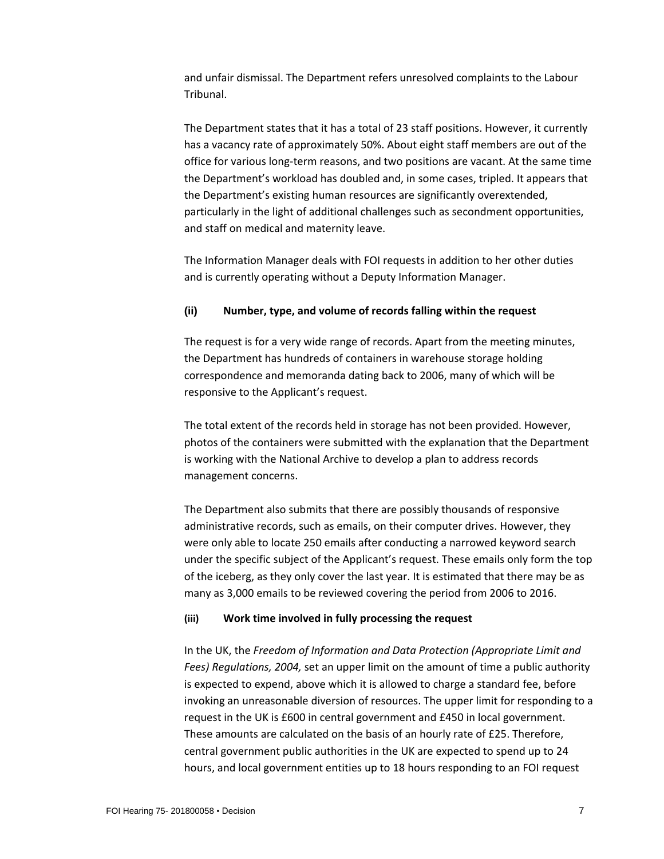and unfair dismissal. The Department refers unresolved complaints to the Labour Tribunal.

The Department states that it has a total of 23 staff positions. However, it currently has a vacancy rate of approximately 50%. About eight staff members are out of the office for various long-term reasons, and two positions are vacant. At the same time the Department's workload has doubled and, in some cases, tripled. It appears that the Department's existing human resources are significantly overextended, particularly in the light of additional challenges such as secondment opportunities, and staff on medical and maternity leave.

The Information Manager deals with FOI requests in addition to her other duties and is currently operating without a Deputy Information Manager.

### **(ii) Number, type, and volume of records falling within the request**

The request is for a very wide range of records. Apart from the meeting minutes, the Department has hundreds of containers in warehouse storage holding correspondence and memoranda dating back to 2006, many of which will be responsive to the Applicant's request.

The total extent of the records held in storage has not been provided. However, photos of the containers were submitted with the explanation that the Department is working with the National Archive to develop a plan to address records management concerns.

The Department also submits that there are possibly thousands of responsive administrative records, such as emails, on their computer drives. However, they were only able to locate 250 emails after conducting a narrowed keyword search under the specific subject of the Applicant's request. These emails only form the top of the iceberg, as they only cover the last year. It is estimated that there may be as many as 3,000 emails to be reviewed covering the period from 2006 to 2016.

#### **(iii) Work time involved in fully processing the request**

In the UK, the *Freedom of Information and Data Protection (Appropriate Limit and Fees) Regulations, 2004,* set an upper limit on the amount of time a public authority is expected to expend, above which it is allowed to charge a standard fee, before invoking an unreasonable diversion of resources. The upper limit for responding to a request in the UK is £600 in central government and £450 in local government. These amounts are calculated on the basis of an hourly rate of £25. Therefore, central government public authorities in the UK are expected to spend up to 24 hours, and local government entities up to 18 hours responding to an FOI request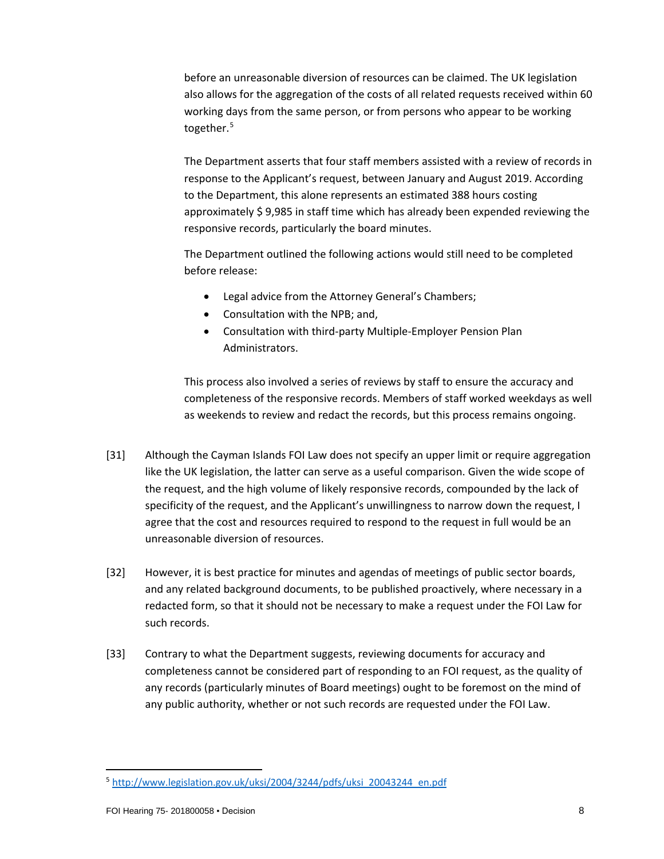before an unreasonable diversion of resources can be claimed. The UK legislation also allows for the aggregation of the costs of all related requests received within 60 working days from the same person, or from persons who appear to be working together.<sup>[5](#page-7-0)</sup>

The Department asserts that four staff members assisted with a review of records in response to the Applicant's request, between January and August 2019. According to the Department, this alone represents an estimated 388 hours costing approximately \$ 9,985 in staff time which has already been expended reviewing the responsive records, particularly the board minutes.

The Department outlined the following actions would still need to be completed before release:

- Legal advice from the Attorney General's Chambers;
- Consultation with the NPB; and,
- Consultation with third-party Multiple-Employer Pension Plan Administrators.

This process also involved a series of reviews by staff to ensure the accuracy and completeness of the responsive records. Members of staff worked weekdays as well as weekends to review and redact the records, but this process remains ongoing.

- [31] Although the Cayman Islands FOI Law does not specify an upper limit or require aggregation like the UK legislation, the latter can serve as a useful comparison. Given the wide scope of the request, and the high volume of likely responsive records, compounded by the lack of specificity of the request, and the Applicant's unwillingness to narrow down the request, I agree that the cost and resources required to respond to the request in full would be an unreasonable diversion of resources.
- [32] However, it is best practice for minutes and agendas of meetings of public sector boards, and any related background documents, to be published proactively, where necessary in a redacted form, so that it should not be necessary to make a request under the FOI Law for such records.
- [33] Contrary to what the Department suggests, reviewing documents for accuracy and completeness cannot be considered part of responding to an FOI request, as the quality of any records (particularly minutes of Board meetings) ought to be foremost on the mind of any public authority, whether or not such records are requested under the FOI Law.

<span id="page-7-0"></span><sup>5</sup> [http://www.legislation.gov.uk/uksi/2004/3244/pdfs/uksi\\_20043244\\_en.pdf](http://www.legislation.gov.uk/uksi/2004/3244/pdfs/uksi_20043244_en.pdf)